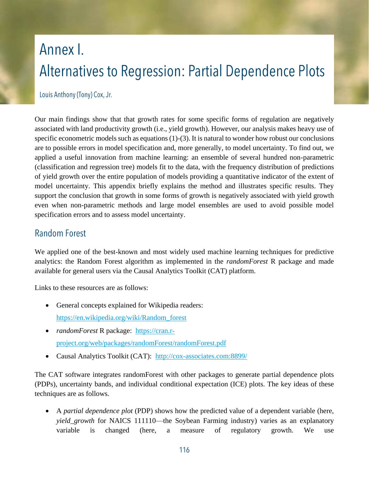## Annex I. Alternatives to Regression: Partial Dependence Plots

Louis Anthony (Tony) Cox, Jr.

Our main findings show that that growth rates for some specific forms of regulation are negatively associated with land productivity growth (i.e., yield growth). However, our analysis makes heavy use of specific econometric models such as equations (1)-(3). It is natural to wonder how robust our conclusions are to possible errors in model specification and, more generally, to model uncertainty. To find out, we applied a useful innovation from machine learning: an ensemble of several hundred non-parametric (classification and regression tree) models fit to the data, with the frequency distribution of predictions of yield growth over the entire population of models providing a quantitative indicator of the extent of model uncertainty. This appendix briefly explains the method and illustrates specific results. They support the conclusion that growth in some forms of growth is negatively associated with yield growth even when non-parametric methods and large model ensembles are used to avoid possible model specification errors and to assess model uncertainty.

## **Random Forest**

We applied one of the best-known and most widely used machine learning techniques for predictive analytics: the Random Forest algorithm as implemented in the *randomForest* R package and made available for general users via the Causal Analytics Toolkit (CAT) platform.

Links to these resources are as follows:

- General concepts explained for Wikipedia readers: [https://en.wikipedia.org/wiki/Random\\_forest](https://en.wikipedia.org/wiki/Random_forest)
- *randomForest* R package: [https://cran.r](https://cran.r-project.org/web/packages/randomForest/randomForest.pdf)[project.org/web/packages/randomForest/randomForest.pdf](https://cran.r-project.org/web/packages/randomForest/randomForest.pdf)
- Causal Analytics Toolkit (CAT): <http://cox-associates.com:8899/>

The CAT software integrates randomForest with other packages to generate partial dependence plots (PDPs), uncertainty bands, and individual conditional expectation (ICE) plots. The key ideas of these techniques are as follows.

 A *partial dependence plot* (PDP) shows how the predicted value of a dependent variable (here, *yield\_growth* for NAICS 111110—the Soybean Farming industry) varies as an explanatory variable is changed (here, a measure of regulatory growth. We use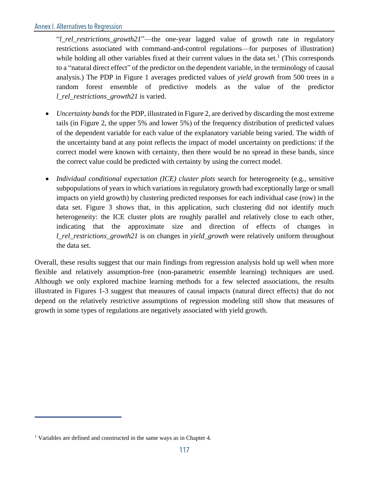"*l\_rel\_restrictions\_growth21*"—the one-year lagged value of growth rate in regulatory restrictions associated with command-and-control regulations—for purposes of illustration) while holding all other variables fixed at their current values in the data set.<sup>1</sup> (This corresponds to a "natural direct effect" of the predictor on the dependent variable, in the terminology of causal analysis.) The PDP in Figure 1 averages predicted values of *yield growth* from 500 trees in a random forest ensemble of predictive models as the value of the predictor *l\_rel\_restrictions\_growth21* is varied.

- *Uncertainty bands* for the PDP, illustrated in Figure 2, are derived by discarding the most extreme tails (in Figure 2, the upper 5% and lower 5%) of the frequency distribution of predicted values of the dependent variable for each value of the explanatory variable being varied. The width of the uncertainty band at any point reflects the impact of model uncertainty on predictions: if the correct model were known with certainty, then there would be no spread in these bands, since the correct value could be predicted with certainty by using the correct model.
- *Individual conditional expectation (ICE) cluster plots* search for heterogeneity (e.g., sensitive subpopulations of years in which variations in regulatory growth had exceptionally large or small impacts on yield growth) by clustering predicted responses for each individual case (row) in the data set. Figure 3 shows that, in this application, such clustering did not identify much heterogeneity: the ICE cluster plots are roughly parallel and relatively close to each other, indicating that the approximate size and direction of effects of changes in *l\_rel\_restrictions\_growth21* is on changes in *yield\_growth* were relatively uniform throughout the data set.

Overall, these results suggest that our main findings from regression analysis hold up well when more flexible and relatively assumption-free (non-parametric ensemble learning) techniques are used. Although we only explored machine learning methods for a few selected associations, the results illustrated in Figures 1-3 suggest that measures of causal impacts (natural direct effects) that do not depend on the relatively restrictive assumptions of regression modeling still show that measures of growth in some types of regulations are negatively associated with yield growth.

<sup>&</sup>lt;sup>1</sup> Variables are defined and constructed in the same ways as in Chapter 4.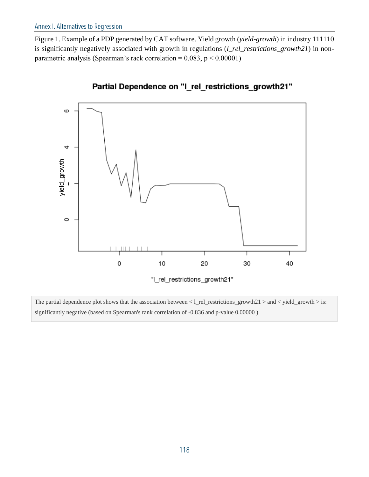Figure 1. Example of a PDP generated by CAT software. Yield growth (*yield-growth*) in industry 111110 is significantly negatively associated with growth in regulations (*l\_rel\_restrictions\_growth21*) in nonparametric analysis (Spearman's rack correlation =  $0.083$ ,  $p < 0.00001$ )



## Partial Dependence on "I\_rel\_restrictions\_growth21"

The partial dependence plot shows that the association between  $\langle$  l\_rel\_restrictions\_growth21  $>$  and  $\langle$  yield\_growth  $>$  is: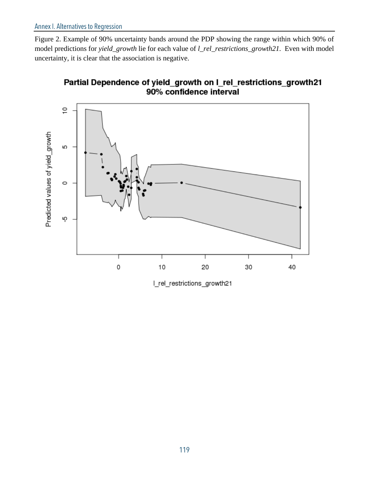Figure 2. Example of 90% uncertainty bands around the PDP showing the range within which 90% of model predictions for *yield\_growth* lie for each value of *l\_rel\_restrictions\_growth21.* Even with model uncertainty, it is clear that the association is negative.





I\_rel\_restrictions\_growth21